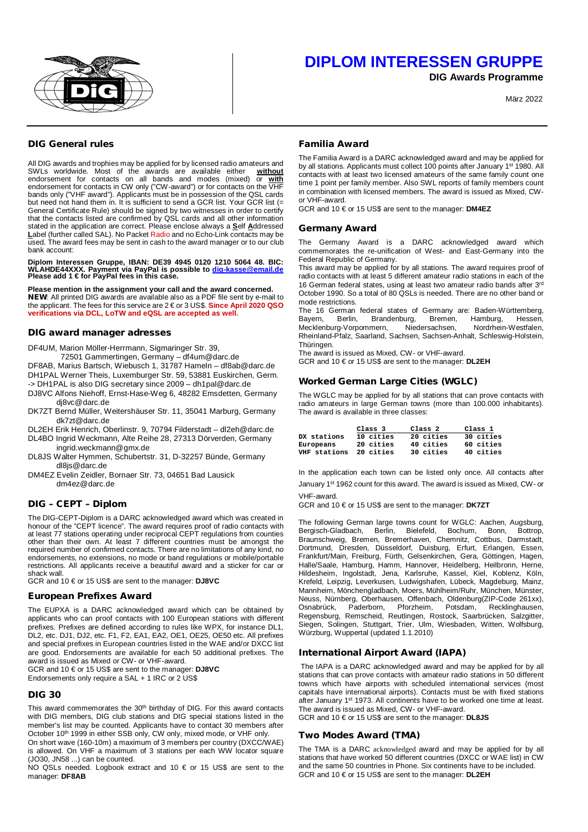

**DIG Awards Programme**

März 2022

## **DIG General rules**

All DIG awards and trophies may be applied for by licensed radio amateurs and<br>SWLs worldwide. Most of the awards are available either without SWLs worldwide. Most of the awards are available either endorsement for contacts on all bands and modes (mixed) or **with** endorsement for contacts in CW only ("CW-award") or for contacts on the VHF bands only ("VHF award"). Applicants must be in possession of the QSL cards but need not hand them in. It is sufficient to send a GCR list. Your GCR list (= General Certificate Rule) should be signed by two witnesses in order to certify that the contacts listed are confirmed by QSL cards and all other information stated in the application are correct. Please enclose always a **S**elf **A**ddressed **L**abel (further called SAL). No Packet Radio and no Echo-Link contacts may be used. The award fees may be sent in cash to the award manager or to our club bank account:

**Diplom Interessen Gruppe, IBAN: DE39 4945 0120 1210 5064 48. BIC: WLAHDE44XXX. Payment via PayPal is possible to [dig-kasse@email.de](mailto:dig-kasse@email.de) Please add 1 € for PayPal fees in this case.**

**Please mention in the assignment your call and the award concerned. NEW**: All printed DIG awards are available also as a PDF file sent by e-mail to the applicant. The fees for this service are 2 € or 3 US\$. **Since April 2020 QSO verifications via DCL, LoTW and eQSL are accepted as well.**

#### **DIG award manager adresses**

DF4UM, Marion Möller-Herrmann, Sigmaringer Str. 39,

72501 Gammertingen, Germany – [df4um@darc.de](mailto:df4um@darc.de)

DF8AB, Marius Bartsch, Wiebusch 1, 31787 Hameln – [df8ab@darc.de](mailto:df8ab@darc.de) DH1PAL Werner Theis, Luxemburger Str. 59, 53881 Euskirchen, Germ.

-> DH1PAL is also DIG secretary since 2009 – [dh1pal@darc.de](mailto:dh1pal@darc.de)

DJ8VC Alfons Niehoff, Ernst-Hase-Weg 6, 48282 Emsdetten, Germany [dj8vc@darc.de](mailto:dj8vc@darc.de)

DK7ZT Bernd Müller, Weitershäuser Str. 11, 35041 Marburg, Germany [dk7zt@darc.de](mailto:dk7zt@darc.de)

DL2EH Erik Henrich, Oberlinstr. 9, 70794 Filderstadt – [dl2eh@darc.de](mailto:dl2eh@darc.de) DL4BO Ingrid Weckmann, Alte Reihe 28, 27313 Dörverden, Germany

 [ingrid.weckmann@gmx.de](mailto:ingrid.weckmann@gmx.de) DL8JS Walter Hymmen, Schubertstr. 31, D-32257 Bünde, Germany

 [dl8js@darc.de](mailto:dl8js@darc.de) DM4EZ Evelin Zeidler, Bornaer Str. 73, 04651 Bad Lausick [dm4ez@darc.de](mailto:dm4ez@darc.de)

# **DIG – CEPT – Diplom**

The DIG-CEPT-Diplom is a DARC acknowledged award which was created in honour of the "CEPT licence". The award requires proof of radio contacts with<br>at least 77 stations operating under reciprocal CEPT regulations from counties<br>other than their own. At least 7 different countries must be amon required number of confirmed contacts. There are no limitations of any kind, no endorsements, no extensions, no mode or band regulations or mobile/portable restrictions. All applicants receive a beautiful award and a sticker for car or shack wall.

GCR and 10 € or 15 US\$ are sent to the manager: **DJ8VC**

#### **European Prefixes Award**

The EUPXA is a DARC acknowledged award which can be obtained by applicants who can proof contacts with 100 European stations with different prefixes. Prefixes are defined according to rules like WPX, for instance DL1, DL2, etc. DJ1, DJ2, etc. F1, F2, EA1, EA2, OE1, OE25, OE50 etc. All prefixes and special prefixes in European countries listed in the WAE and/or DXCC list are good. Endorsements are available for each 50 additional prefixes. The award is issued as Mixed or CW- or VHF-award.

GCR and 10 € or 15 US\$ are sent to the manager: **DJ8VC**

Endorsements only require a SAL + 1 IRC or 2 US\$

### **DIG 30**

This award commemorates the 30<sup>th</sup> birthday of DIG. For this award contacts with DIG members, DIG club stations and DIG special stations listed in the member's list may be counted. Applicants have to contact 30 members after October 10<sup>th</sup> 1999 in either SSB only, CW only, mixed mode, or VHF only.

On short wave (160-10m) a maximum of 3 members per country (DXCC/WAE) is allowed. On VHF a maximum of 3 stations per each WW locator square (JO30, JN58 ...) can be counted.

NO QSLs needed. Logbook extract and 10 € or 15 US\$ are sent to the manager: **DF8AB**

## **Familia Award**

The Familia Award is a DARC acknowledged award and may be applied for by all stations. Applicants must collect 100 points after January 1<sup>st</sup> 1980. All contacts with at least two licensed amateurs of the same family count one time 1 point per family member. Also SWL reports of family members count in combination with licensed members. The award is issued as Mixed, CWor VHF-award.

GCR and 10 € or 15 US\$ are sent to the manager: **DM4EZ**

#### **Germany Award**

The Germany Award is a DARC acknowledged award which commemorates the re-unification of West- and East-Germany into the Federal Republic of Germany.

This award may be applied for by all stations. The award requires proof of radio contacts with at least 5 different amateur radio stations in each of the 16 German federal states, using at least two amateur radio bands after 3rd October 1990. So a total of 80 QSLs is needed. There are no other band or mode restrictions.

The 16 German federal states of Germany are: Baden-Württemberg,<br>Bayern, Berlin, Brandenburg, Bremen, Hamburg, Hessen, Berlin, Brandenburg, Bremen, Hamburg, Hessen,<br>rg-Vorpommern, Niedersachsen, Nordrhein-Westfalen, Mecklenburg-Vorpommern, Rheinland-Pfalz, Saarland, Sachsen, Sachsen-Anhalt, Schleswig-Holstein, Thüringen.

The award is issued as Mixed, CW- or VHF-award.

GCR and 10 € or 15 US\$ are sent to the manager: **DL2EH**

## **Worked German Large Cities (WGLC)**

The WGLC may be applied for by all stations that can prove contacts with radio amateurs in large German towns (more than 100.000 inhabitants). The award is available in three classes:

|              | Class <sub>3</sub> | Class <sub>2</sub> | Class 1   |
|--------------|--------------------|--------------------|-----------|
| DX stations  | 10 cities          | 20 cities          | 30 cities |
| Europeans    | 20 cities          | 40 cities          | 60 cities |
| VHF stations | 20 cities          | 30 cities          | 40 cities |

In the application each town can be listed only once. All contacts after January 1st 1962 count for this award. The award is issued as Mixed, CW- or VHF-award.

GCR and 10 € or 15 US\$ are sent to the manager: **DK7ZT**

The following German large towns count for WGLC: Aachen, Augsburg, Bergisch-Gladbach, Berlin, Bielefeld, Bochum, Bonn, Bottrop, Braunschweig, Bremen, Bremerhaven, Chemnitz, Cottbus, Darmstadt, Dortmund, Dresden, Düsseldorf, Duisburg, Erfurt, Erlangen, Essen, Frankfurt/Main, Freiburg, Fürth, Gelsenkirchen, Gera, Göttingen, Hagen, Halle/Saale, Hamburg, Hamm, Hannover, Heidelberg, Heilbronn, Herne, Hildesheim, Ingolstadt, Jena, Karlsruhe, Kassel, Kiel, Koblenz, Köln, Krefeld, Leipzig, Leverkusen, Ludwigshafen, Lübeck, Magdeburg, Mainz, Mannheim, Mönchengladbach, Moers, Mühlheim/Ruhr, München, Münster, Neuss, Nürnberg, Oberhausen, Offenbach, Oldenburg(ZIP-Code 261xx), Osnabrück, Paderborn, Pforzheim, Potsdam, Recklinghausen, Regensburg, Remscheid, Reutlingen, Rostock, Saarbrücken, Salzgitter, Siegen, Solingen, Stuttgart, Trier, Ulm, Wiesbaden, Witten, Wolfsburg, Würzburg, Wuppertal (updated 1.1.2010)

### **International Airport Award (IAPA)**

The IAPA is a DARC acknowledged award and may be applied for by all stations that can prove contacts with amateur radio stations in 50 different towns which have airports with scheduled international services (most capitals have international airports). Contacts must be with fixed stations after January 1st 1973. All continents have to be worked one time at least. The award is issued as Mixed, CW- or VHF-award.

GCR and 10 € or 15 US\$ are sent to the manager: **DL8JS**

### **Two Modes Award (TMA)**

The TMA is a DARC acknowledged award and may be applied for by all stations that have worked 50 different countries (DXCC or WAE list) in CW and the same 50 countries in Phone. Six continents have to be included. GCR and 10 € or 15 US\$ are sent to the manager: **DL2EH**